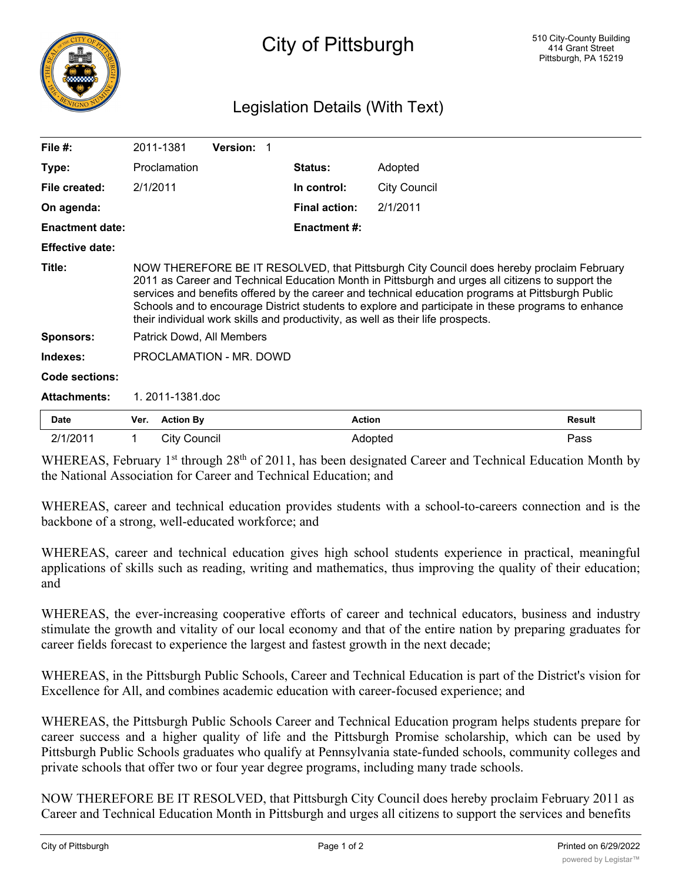

## Legislation Details (With Text)

| File $#$ :             |                                                                                                                                                                                                                                                                                                                                                                                                                                                                                            | 2011-1381        | Version: 1 |                      |                     |               |
|------------------------|--------------------------------------------------------------------------------------------------------------------------------------------------------------------------------------------------------------------------------------------------------------------------------------------------------------------------------------------------------------------------------------------------------------------------------------------------------------------------------------------|------------------|------------|----------------------|---------------------|---------------|
| Type:                  | Proclamation                                                                                                                                                                                                                                                                                                                                                                                                                                                                               |                  |            | <b>Status:</b>       | Adopted             |               |
| File created:          | 2/1/2011                                                                                                                                                                                                                                                                                                                                                                                                                                                                                   |                  |            | In control:          | <b>City Council</b> |               |
| On agenda:             |                                                                                                                                                                                                                                                                                                                                                                                                                                                                                            |                  |            | <b>Final action:</b> | 2/1/2011            |               |
| <b>Enactment date:</b> |                                                                                                                                                                                                                                                                                                                                                                                                                                                                                            |                  |            | <b>Enactment #:</b>  |                     |               |
| <b>Effective date:</b> |                                                                                                                                                                                                                                                                                                                                                                                                                                                                                            |                  |            |                      |                     |               |
| Title:                 | NOW THEREFORE BE IT RESOLVED, that Pittsburgh City Council does hereby proclaim February<br>2011 as Career and Technical Education Month in Pittsburgh and urges all citizens to support the<br>services and benefits offered by the career and technical education programs at Pittsburgh Public<br>Schools and to encourage District students to explore and participate in these programs to enhance<br>their individual work skills and productivity, as well as their life prospects. |                  |            |                      |                     |               |
| <b>Sponsors:</b>       | Patrick Dowd, All Members                                                                                                                                                                                                                                                                                                                                                                                                                                                                  |                  |            |                      |                     |               |
| Indexes:               | PROCLAMATION - MR. DOWD                                                                                                                                                                                                                                                                                                                                                                                                                                                                    |                  |            |                      |                     |               |
| Code sections:         |                                                                                                                                                                                                                                                                                                                                                                                                                                                                                            |                  |            |                      |                     |               |
| <b>Attachments:</b>    | 1.2011-1381.doc                                                                                                                                                                                                                                                                                                                                                                                                                                                                            |                  |            |                      |                     |               |
| Date                   | Ver.                                                                                                                                                                                                                                                                                                                                                                                                                                                                                       | <b>Action By</b> |            | <b>Action</b>        |                     | <b>Result</b> |
| 2/1/2011               |                                                                                                                                                                                                                                                                                                                                                                                                                                                                                            | City Council     |            |                      | Adopted             | Pass          |

WHEREAS, February 1<sup>st</sup> through 28<sup>th</sup> of 2011, has been designated Career and Technical Education Month by the National Association for Career and Technical Education; and

WHEREAS, career and technical education provides students with a school-to-careers connection and is the backbone of a strong, well-educated workforce; and

WHEREAS, career and technical education gives high school students experience in practical, meaningful applications of skills such as reading, writing and mathematics, thus improving the quality of their education; and

WHEREAS, the ever-increasing cooperative efforts of career and technical educators, business and industry stimulate the growth and vitality of our local economy and that of the entire nation by preparing graduates for career fields forecast to experience the largest and fastest growth in the next decade;

WHEREAS, in the Pittsburgh Public Schools, Career and Technical Education is part of the District's vision for Excellence for All, and combines academic education with career-focused experience; and

WHEREAS, the Pittsburgh Public Schools Career and Technical Education program helps students prepare for career success and a higher quality of life and the Pittsburgh Promise scholarship, which can be used by Pittsburgh Public Schools graduates who qualify at Pennsylvania state-funded schools, community colleges and private schools that offer two or four year degree programs, including many trade schools.

NOW THEREFORE BE IT RESOLVED, that Pittsburgh City Council does hereby proclaim February 2011 as Career and Technical Education Month in Pittsburgh and urges all citizens to support the services and benefits